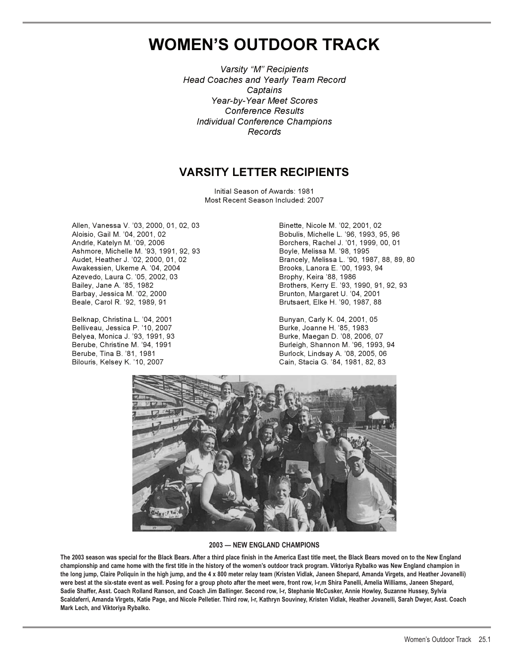# **WOMEN'S OUTDOOR TRACK**

*Varsity "M" Recipients Head Coaches and Yearly Team Record Captains Year-by-Year Meet Scores Conference Results Individual Conference Champions Records*

## **VARSITY LETTER RECIPIENTS**

Initial Season of Awards: 1981 Most Recent Season Included: 2007

Allen, Vanessa V. '03, 2000, 01, 02, 03 Binette, Nicole M. '02, 2001, 02 Andrle, Katelyn M. '09, 2006 Borchers, Rachel J. '01, 1999, 00, 01 Ashmore, Michelle M. '93, 1991, 92, 93 Boyle, Melissa M. '98, 1995 Awakessien, Ukeme A. '04, 2004 Brooks, Lanora E. '00, 1993, 94 Azevedo, Laura C. '05, 2002, 03 Brophy, Keira '88, 1986 Bailey, Jane A. '85, 1982 Brothers, Kerry E. '93, 1990, 91, 92, 93 Barbay, Jessica M. '02, 2000 Brunton, Margaret U. '04, 2001

Belknap, Christina L. '04, 2001 **Bunyan, Carly K. 04, 2001, 05** Belliveau, Jessica P. '10, 2007 Burke, Joanne H. '85, 1983

Bobulis, Michelle L. '96, 1993, 95, 96 Brancely, Melissa L. '90, 1987, 88, 89, 80 Brutsaert, Elke H. '90, 1987, 88

Burke, Maegan D. '08, 2006, 07 Berube, Christine M. '94, 1991 Burleigh, Shannon M. '96, 1993, 94 Burlock, Lindsay A. '08, 2005, 06 Bilouris, Kelsey K. '10, 2007 Cain, Stacia G. '84, 1981, 82, 83



#### **2003 — NEW ENGLAND CHAMPIONS**

**The 2003 season was special for the Black Bears. After a third place finish in the America East title meet, the Black Bears moved on to the New England championship and came home with the first title in the history of the women's outdoor track program. Viktoriya Rybalko was New England champion in the long jump, Claire Poliquin in the high jump, and the 4 x 800 meter relay team (Kristen Vidlak, Janeen Shepard, Amanda Virgets, and Heather Jovanelli) were best at the six-state event as well. Posing for a group photo after the meet were, front row, l-r,m Shira Panelli, Amelia Williams, Janeen Shepard, Sadie Shaffer, Asst. Coach Rolland Ranson, and Coach Jim Ballinger. Second row, l-r, Stephanie McCusker, Annie Howley, Suzanne Hussey, Sylvia Scaldaferri, Amanda Virgets, Katie Page, and Nicole Pelletier. Third row, l-r, Kathryn Souviney, Kristen Vidlak, Heather Jovanelli, Sarah Dwyer, Asst. Coach Mark Lech, and Viktoriya Rybalko.**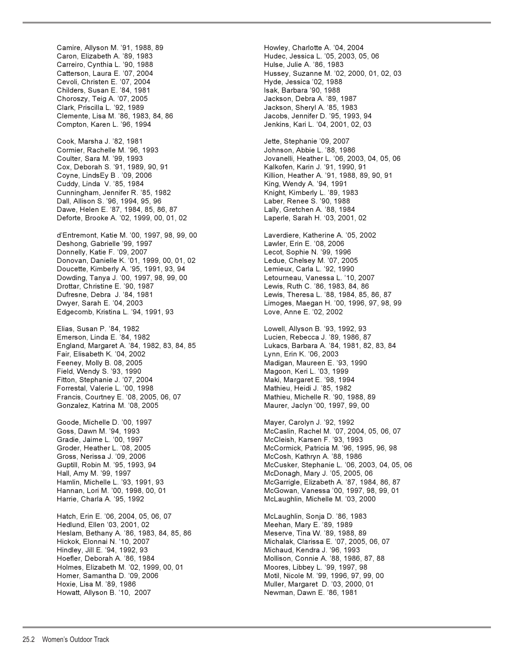Camire, Allyson M. '91, 1988, 89 Howley, Charlotte A. '04, 2004 Carreiro, Cynthia L. '90, 1988 Hulse, Julie A. '86, 1983 Cevoli, Christen E. '07, 2004 **Hyde, Jessica '02, 1988** Childers, Susan E. '84, 1981 **Isak, Barbara '90, 1988** Choroszy, Teig A. '07, 2005 Jackson, Debra A. '89, 1987 Clark, Priscilla L. '92, 1989 Jackson, Sheryl A. '85, 1983 Clemente, Lisa M. '86, 1983, 84, 86 Jacobs, Jennifer D. '95, 1993, 94 Compton, Karen L. '96, 1994 Jenkins, Kari L. '04, 2001, 02, 03 Cook, Marsha J. '82, 1981 Jette, Stephanie '09, 2007 Cormier, Rachelle M. '96, 1993 Johnson, Abbie L. '88, 1986 Cox, Deborah S. '91, 1989, 90, 91 Kalkofen, Karin J. '91, 1990, 91 Coyne, LindsEy B . '09, 2006 Killion, Heather A. '91, 1988, 89, 90, 91 Cuddy, Linda V. '85, 1984 King, Wendy A. '94, 1991 Cunningham, Jennifer R. '85, 1982 Knight, Kimberly L. '89, 1983 Dall, Allison S. '96, 1994, 95, 96 Laber, Renee S. '90, 1988 Dawe, Helen E. '87, 1984, 85, 86, 87 Letton A. '88, 1984 Deforte, Brooke A. '02, 1999, 00, 01, 02 Laperle, Sarah H. '03, 2001, 02 d'Entremont, Katie M. '00, 1997, 98, 99, 00 Laverdiere, Katherine A. '05, 2002 Deshong, Gabrielle '99, 1997 Lawler, Erin E. '08, 2006 Donnelly, Katie F. '09, 2007 Lecot, Sophie N. '99, 1996 Donovan, Danielle K. '01, 1999, 00, 01, 02 Ledue, Chelsey M. '07, 2005 Doucette, Kimberly A. '95, 1991, 93, 94 Lemieux, Carla L. '92, 1990 Dowding, Tanya J. '00, 1997, 98, 99, 00 Letourneau, Vanessa L. '10, 2007 Drottar, Christine E. '90, 1987 Lewis, Ruth C. '86, 1983, 84, 86 Edgecomb, Kristina L. '94, 1991, 93 Love, Anne E. '02, 2002 Elias, Susan P. '84, 1982 Lowell, Allyson B. '93, 1992, 93 Emerson, Linda E. '84, 1982 Lucien, Rebecca J. '89, 1986, 87 England, Margaret A. '84, 1982, 83, 84, 85 Lukacs, Barbara A. '84, 1981, 82, 83, 84 Fair, Elisabeth K. '04, 2002 Lynn, Erin K. '06, 2003 Feeney, Molly B. 08, 2005 Madigan, Maureen E. '93, 1990 Field, Wendy S. '93, 1990 Magoon, Keri L. '03, 1999 Fitton, Stephanie J. '07, 2004 **Maki, Margaret E. '98, 1994** Maki, Margaret E. '98, 1994 Forrestal, Valerie L. '00, 1998 Mathieu, Heidi J. '85, 1982 Francis, Courtney E. '08, 2005, 06, 07 Mathieu, Michelle R. '90, 1988, 89 Gonzalez, Katrina M. '08, 2005 Maurer, Jaclyn '00, 1997, 99, 00 Goode, Michelle D. '00, 1997 Mayer, Carolyn J. '92, 1992 Gradie, Jaime L. '00, 1997 McCleish, Karsen F. '93, 1993 Gross, Nerissa J. '09, 2006 McCosh, Kathryn A. '88, 1986 Hall, Amy M. '99, 1997 McDonagh, Mary J. '05, 2005, 06 Harrie, Charla A. '95, 1992 McLaughlin, Michelle M. '03, 2000 Hatch, Erin E. '06, 2004, 05, 06, 07 McLaughlin, Sonja D. '86, 1983 Hedlund, Ellen '03, 2001, 02 Meehan, Mary E. '89, 1989 Heslam, Bethany A. '86, 1983, 84, 85, 86 Meserve, Tina W. '89, 1988, 89 Hickok, Elonnai N. '10, 2007 Michalak, Clarissa E. '07, 2005, 06, 07 Hindley, Jill E. '94, 1992, 93 Michaud, Kendra J. '96, 1993 Hoefler, Deborah A. '86, 1984 Mollison, Connie A. '88, 1986, 87, 88 Holmes, Elizabeth M. '02, 1999, 00, 01 Moores, Libbey L. '99, 1997, 98 Homer, Samantha D. '09, 2006 Motil, Nicole M. '99, 1996, 97, 99, 00 Hoxie, Lisa M. '89, 1986 Muller, Margaret D. '03, 2000, 01 Howatt, Allyson B. '10, 2007 Newman, Dawn E. '86, 1981

Hudec, Jessica L. '05, 2003, 05, 06 Hussey, Suzanne M. '02, 2000, 01, 02, 03 Coulter, Sara M. '99, 1993 Jovanelli, Heather L. '06, 2003, 04, 05, 06 Lewis, Theresa L. '88, 1984, 85, 86, 87 Dwyer, Sarah E. '04, 2003 Limoges, Maegan H. '00, 1996, 97, 98, 99 Goss, Dawn M. '94, 1993 McCaslin, Rachel M. '07, 2004, 05, 06, 07 Groder, Heather L. '08, 2005 **McCormick, Patricia M. '96, 1995, 96, 98** Guptill, Robin M. '95, 1993, 94 McCusker, Stephanie L. '06, 2003, 04, 05, 06 Hamlin, Michelle L. '93, 1991, 93 McGarrigle, Elizabeth A. '87, 1984, 86, 87 Hannan, Lori M. '00, 1998, 00, 01 McGowan, Vanessa '00, 1997, 98, 99, 01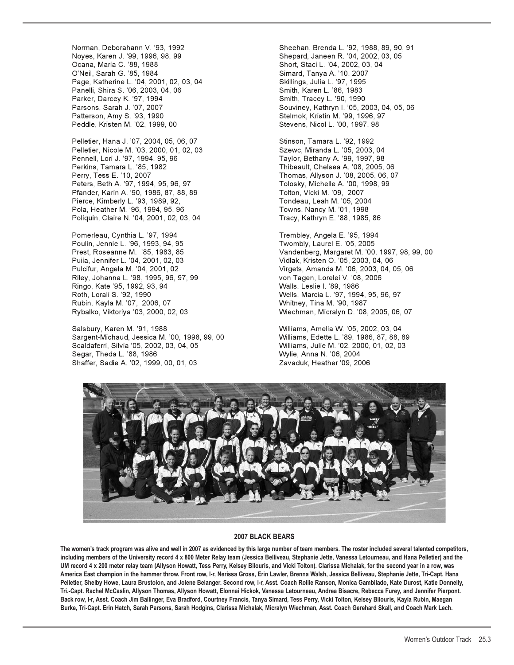Ocana, Maria C. '88, 1988 Short, Staci L. '04, 2002, 03, 04 Page, Katherine L. '04, 2001, 02, 03, 04 Skillings, Julia L. '97, 1995 Panelli, Shira S. '06, 2003, 04, 06 Smith, Karen L. '86, 1983 Parker, Darcey K. '97, 1994 **Smith, Tracey L. '90, 1990** Peddle, Kristen M. '02, 1999, 00 Stevens, Nicol L. '00, 1997, 98

Pelletier, Hana J. '07, 2004, 05, 06, 07 Stinson, Tamara L. '92, 1992 Pelletier, Nicole M. '03, 2000, 01, 02, 03 Szewc, Miranda L. '05, 2003, 04 Pennell, Lori J. '97, 1994, 95, 96 Taylor, Bethany A. '99, 1997, 98<br>Perkins, Tamara L. '85, 1982 Thibeault, Chelsea A. '08, 2005, Perry, Tess E. '10, 2007 Thomas, Allyson J. '08, 2005, 06, 07 Peters, Beth A. '97, 1994, 95, 96, 97 Pfander, Karin A. '90, 1986, 87, 88, 89 Tolton, Vicki M. '09, 2007 Pierce, Kimberly L. '93, 1989, 92, The Contract Condeau, Leah M. '05, 2004 Pola, Heather M. '96, 1994, 95, 96 The Collection of Towns, Nancy M. '01, 1998 Poliquin, Claire N. '04, 2001, 02, 03, 04 Tracy, Kathryn E. '88, 1985, 86

Pomerleau, Cynthia L. '97, 1994 Trembley, Angela E. '95, 1994 Poulin, Jennie L. '96, 1993, 94, 95 Puiia, Jennifer L. '04, 2001, 02, 03 Vidlak, Kristen O. '05, 2003, 04, 06 Riley, Johanna L. '98, 1995, 96, 97, 99 Ringo, Kate '95, 1992, 93, 94 Walls, Leslie I. '89, 1986 Rubin, Kayla M. '07, 2006, 07 Whitney, Tina M. '90, 1987

Salsbury, Karen M. '91, 1988 Williams, Amelia W. '05, 2002, 03, 04 Sargent-Michaud, Jessica M. '00, 1998, 99, 00 Williams, Edette L. '89, 1986, 87, 88, 89 Segar, Theda L. '88, 1986 Wylie, Anna N. '06, 2004 Shaffer, Sadie A. '02, 1999, 00, 01, 03 Zavaduk, Heather '09, 2006

Norman, Deborahann V. '93, 1992 Sheehan, Brenda L. '92, 1988, 89, 90, 91 Shepard, Janeen R. '04, 2002, 03, 05 Simard, Tanya A. '10, 2007 Parsons, Sarah J. '07, 2007 Souviney, Kathryn I. '05, 2003, 04, 05, 06 Stelmok, Kristin M. '99, 1996, 97

Thibeault, Chelsea A. '08, 2005, 06

Prest, Roseanne M. '85, 1983, 85 Vandenberg, Margaret M. '00, 1997, 98, 99, 00 Pulcifur, Angela M. '04, 2001, 02 Virgets, Amanda M. '06, 2003, 04, 05, 06 Wells, Marcia L. '97, 1994, 95, 96, 97 Rybalko, Viktoriya '03, 2000, 02, 03 Wiechman, Micralyn D. '08, 2005, 06, 07

Williams, Julie M. '02, 2000, 01, 02, 03



#### **2007 BLACK BEARS**

The women's track program was alive and well in 2007 as evidenced by this large number of team members. The roster included several talented competitors, **including members of the University record 4 x 800 Meter Relay team (Jessica Belliveau, Stephanie Jette, Vanessa Letourneau, and Hana Pelletier) and the UM record 4 x 200 meter relay team (Allyson Howatt, Tess Perry, Kelsey Bilouris, and Vicki Tolton). Clarissa Michalak, for the second year in a row, was America East champion in the hammer throw. Front row, l-r, Nerissa Gross, Erin Lawler, Brenna Walsh, Jessica Belliveau, Stephanie Jette, Tri-Capt. Hana Pelletier, Shelby Howe, Laura Brustolon, and Jolene Belanger. Second row, l-r, Asst. Coach Rollie Ranson, Monica Gambilado, Kate Durost, Katie Donnelly, Tri.-Capt. Rachel McCaslin, Allyson Thomas, Allyson Howatt, Elonnai Hickok, Vanessa Letourneau, Andrea Bisacre, Rebecca Furey, and Jennifer Pierpont. Back row, l-r, Asst. Coach Jim Ballinger, Eva Bradford, Courtney Francis, Tanya Simard, Tess Perry, Vicki Tolton, Kelsey Bilouris, Kayla Rubin, Maegan Burke, Tri-Capt. Erin Hatch, Sarah Parsons, Sarah Hodgins, Clarissa Michalak, Micralyn Wiechman, Asst. Coach Gerehard Skall, and Coach Mark Lech.**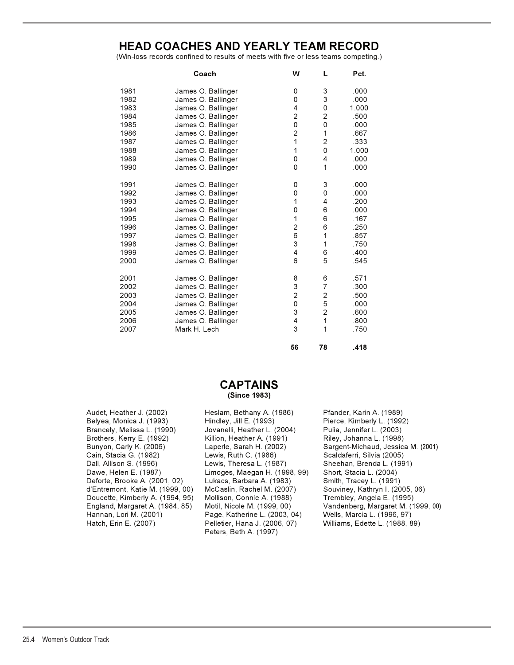## **HEAD COACHES AND YEARLY TEAM RECORD**

(Win-loss records confined to results of meets with five or less teams competing.)

|      | Coach              | W                       | L              | Pct.  |
|------|--------------------|-------------------------|----------------|-------|
| 1981 | James O. Ballinger | 0                       | 3              | .000  |
| 1982 | James O. Ballinger | 0                       | 3              | .000  |
| 1983 | James O. Ballinger | 4                       | 0              | 1.000 |
| 1984 | James O. Ballinger | $\overline{c}$          | 2              | .500  |
| 1985 | James O. Ballinger | $\mathbf 0$             | 0              | .000  |
| 1986 | James O. Ballinger | $\overline{c}$          | 1              | .667  |
| 1987 | James O. Ballinger | 1                       | $\overline{2}$ | .333  |
| 1988 | James O. Ballinger | 1                       | 0              | 1.000 |
| 1989 | James O. Ballinger | 0                       | 4              | .000  |
| 1990 | James O. Ballinger | 0                       | 1              | .000  |
| 1991 | James O. Ballinger | 0                       | 3              | .000  |
| 1992 | James O. Ballinger | 0                       | 0              | .000  |
| 1993 | James O. Ballinger | 1                       | 4              | .200  |
| 1994 | James O. Ballinger | 0                       | 6              | .000  |
| 1995 | James O. Ballinger | 1                       | 6              | .167  |
| 1996 | James O. Ballinger | $\overline{\mathbf{c}}$ | 6              | .250  |
| 1997 | James O. Ballinger | 6                       | 1              | .857  |
| 1998 | James O. Ballinger | 3                       | 1              | .750  |
| 1999 | James O. Ballinger | 4                       | 6              | .400  |
| 2000 | James O. Ballinger | 6                       | 5              | .545  |
| 2001 | James O. Ballinger | 8                       | 6              | .571  |
| 2002 | James O. Ballinger | 3                       | $\overline{7}$ | .300  |
| 2003 | James O. Ballinger | $\overline{c}$          | 2              | .500  |
| 2004 | James O. Ballinger | 0                       | 5              | .000  |
| 2005 | James O. Ballinger | 3                       | 2              | .600  |
| 2006 | James O. Ballinger | 4                       | 1              | .800  |
| 2007 | Mark H. Lech       | 3                       | 1              | .750  |
|      |                    |                         |                |       |

### **CAPTAINS (Since 1983)**

Audet, Heather J. (2002) Heslam, Bethany A. (1986) Pfander, Karin A. (1989) Belyea, Monica J. (1993) Hindley, Jill E. (1993) Pierce, Kimberly L. (1992) Brancely, Melissa L. (1990) Jovanelli, Heather L. (2004) Puiia, Jennifer L. (2003) Brothers, Kerry E. (1992) Killion, Heather A. (1991) Riley, Johanna L. (1998) Cain, Stacia G. (1982) Lewis, Ruth C. (1986) Scaldaferri, Silvia (2005) Dall, Allison S. (1996) Lewis, Theresa L. (1987) Sheehan, Brenda L. (1991) Deforte, Brooke A. (2001, 02) Lukacs, Barbara A. (1983) Smith, Tracey L. (1991) d'Entremont, Katie M. (1999, 00) McCaslin, Rachel M. (2007) Souviney, Kathryn I. (2005, 06) Doucette, Kimberly A. (1994, 95) Mollison, Connie A. (1988) Trembley, Angela E. (1995) Hannan, Lori M. (2001) Page, Katherine L. (2003, 04) Wells, Marcia L. (1996, 97)

Limoges, Maegan H. (1998, 99) Short, Stacia L. (2004) Peters, Beth A. (1997)

Bunyon, Carly K. (2006) Laperle, Sarah H. (2002) Sargent-Michaud, Jessica M. (2001) England, Margaret A. (1984, 85) Motil, Nicole M. (1999, 00) Vandenberg, Margaret M. (1999, 00) Williams, Edette L. (1988, 89)

 **56 78 .418**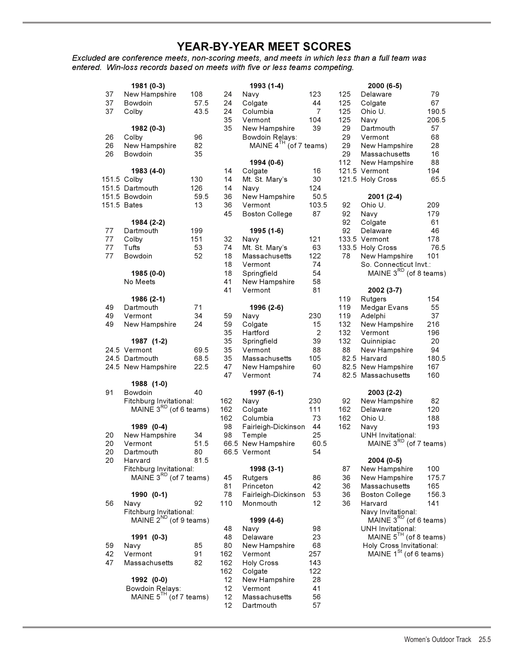## **YEAR-BY-YEAR MEET SCORES**

*Excluded are conference meets, non-scoring meets, and meets in which less than a full team was entered. Win-loss records based on meets with five or less teams competing.*

|    | 1981 (0-3)                  |      |     | 1993 (1-4)                  |            |     | $2000(6-5)$                                      |       |
|----|-----------------------------|------|-----|-----------------------------|------------|-----|--------------------------------------------------|-------|
| 37 | New Hampshire               | 108  | 24  | Navy                        | 123        | 125 | Delaware                                         | 79    |
| 37 | Bowdoin                     | 57.5 | 24  | Colgate                     | 44         | 125 | Colgate                                          | 67    |
| 37 | Colby                       | 43.5 | 24  | Columbia                    | 7          | 125 | Ohio U.                                          | 190.5 |
|    |                             |      | 35  | Vermont                     | 104        | 125 | Navy                                             | 206.5 |
|    | 1982 (0-3)                  |      | 35  | New Hampshire               | 39         | 29  | Dartmouth                                        | 57    |
| 26 | Colby                       | 96   |     | Bowdoin Relays:             |            | 29  | Vermont                                          | 68    |
| 26 | New Hampshire               | 82   |     | MAINE $4^{TH}$ (of 7 teams) |            | 29  | New Hampshire                                    | 28    |
| 26 | Bowdoin                     | 35   |     |                             |            | 29  | Massachusetts                                    | 16    |
|    |                             |      |     | 1994 (0-6)                  |            | 112 | New Hampshire                                    | 88    |
|    | 1983 (4-0)                  |      | 14  | Colgate                     | 16         |     | 121.5 Vermont                                    | 194   |
|    |                             |      |     |                             |            |     | 121.5 Holy Cross                                 | 65.5  |
|    | 151.5 Colby                 | 130  | 14  | Mt. St. Mary's              | 30         |     |                                                  |       |
|    | 151.5 Dartmouth             | 126  | 14  | Navy                        | 124        |     |                                                  |       |
|    | 151.5 Bowdoin               | 59.5 | 36  | New Hampshire               | 50.5       |     | 2001 (2-4)                                       |       |
|    | 151.5 Bates                 | 13   | 36  | Vermont                     | 103.5      | 92  | Ohio U.                                          | 209   |
|    |                             |      | 45  | <b>Boston College</b>       | 87         | 92  | Navy                                             | 179   |
|    | 1984 (2-2)                  |      |     |                             |            | 92  | Colgate                                          | 61    |
| 77 | Dartmouth                   | 199  |     | 1995 (1-6)                  |            | 92  | Delaware                                         | 46    |
| 77 | Colby                       | 151  | 32  | Navy                        | 121        |     | 133.5 Vermont                                    | 178   |
| 77 | Tufts                       | 53   | 74  | Mt. St. Mary's              | 63         |     | 133.5 Holy Cross                                 | 76.5  |
| 77 | Bowdoin                     | 52   | 18  | Massachusetts               | 122        | 78  | New Hampshire                                    | 101   |
|    |                             |      | 18  | Vermont                     | 74         |     | So. Connecticut Invt.:                           |       |
|    | 1985 (0-0)                  |      | 18  | Springfield                 | 54         |     | MAINE $3^{RD}$ (of 8 teams)                      |       |
|    | No Meets                    |      | 41  | New Hampshire               | 58         |     |                                                  |       |
|    |                             |      | 41  | Vermont                     | 81         |     | 2002 (3-7)                                       |       |
|    | 1986 (2-1)                  |      |     |                             |            | 119 | Rutgers                                          | 154   |
| 49 | Dartmouth                   | 71   |     | 1996 (2-6)                  |            | 119 | Medgar Evans                                     | 55    |
| 49 | Vermont                     | 34   | 59  | Navy                        | 230        | 119 | Adelphi                                          | 37    |
| 49 | New Hampshire               | 24   | 59  | Colgate                     | 15         | 132 | New Hampshire                                    | 216   |
|    |                             |      | 35  | Hartford                    | $\sqrt{2}$ | 132 | Vermont                                          | 196   |
|    | 1987 (1-2)                  |      | 35  | Springfield                 | 39         | 132 | Quinnipiac                                       | 20    |
|    | 24.5 Vermont                | 69.5 | 35  | Vermont                     | 88         | 88  | New Hampshire                                    | 94    |
|    | 24.5 Dartmouth              | 68.5 | 35  | Massachusetts               | 105        |     | 82.5 Harvard                                     | 180.5 |
|    | 24.5 New Hampshire          | 22.5 | 47  | New Hampshire               | 60         |     | 82.5 New Hampshire                               | 167   |
|    |                             |      | 47  | Vermont                     | 74         |     | 82.5 Massachusetts                               | 160   |
|    | 1988 (1-0)                  |      |     |                             |            |     |                                                  |       |
| 91 | Bowdoin                     | 40   |     | 1997 (6-1)                  |            |     | 2003 (2-2)                                       |       |
|    | Fitchburg Invitational:     |      | 162 | Navy                        | 230        | 92  | New Hampshire                                    | 82    |
|    | MAINE $3^{RD}$ (of 6 teams) |      | 162 | Colgate                     | 111        | 162 | Delaware                                         | 120   |
|    |                             |      | 162 | Columbia                    | 73         | 162 | Ohio U.                                          | 188   |
|    | 1989 (0-4)                  |      | 98  |                             | 44         | 162 |                                                  |       |
|    |                             |      |     | Fairleigh-Dickinson         |            |     | Navy                                             | 193   |
| 20 | New Hampshire               | 34   | 98  | Temple                      | 25         |     | UNH Invitational:<br>MAINE $3^{RD}$ (of 7 teams) |       |
| 20 | Vermont                     | 51.5 |     | 66.5 New Hampshire          | 60.5       |     |                                                  |       |
| 20 | Dartmouth                   | 80   |     | 66.5 Vermont                | 54         |     |                                                  |       |
| 20 | Harvard                     | 81.5 |     |                             |            |     | 2004 (0-5)                                       |       |
|    | Fitchburg Invitational:     |      |     | 1998 (3-1)                  |            | 87  | New Hampshire                                    | 100   |
|    | MAINE $3^{RD}$ (of 7 teams) |      | 45  | Rutgers                     | 86         | 36  | New Hampshire                                    | 175.7 |
|    |                             |      | 81  | Princeton                   | 42         | 36  | Massachusetts                                    | 165   |
|    | 1990 (0-1)                  |      | 78  | Fairleigh-Dickinson         | 53         | 36  | <b>Boston College</b>                            | 156.3 |
| 56 | Navy                        | 92   | 110 | Monmouth                    | 12         | 36  | Harvard                                          | 141   |
|    | Fitchburg Invitational:     |      |     |                             |            |     | Navy Invitational:                               |       |
|    | MAINE $2^{ND}$ (of 9 teams) |      |     | 1999 (4-6)                  |            |     | $M$ AINE 3 <sup>RD</sup> (of 6 teams)            |       |
|    |                             |      | 48  | Navy                        | 98         |     | <b>UNH Invitational:</b>                         |       |
|    | 1991 (0-3)                  |      | 48  | Delaware                    | 23         |     | MAINE $5^{TH}$ (of 8 teams)                      |       |
| 59 | Navy                        | 85   | 80  | New Hampshire               | 68         |     | Holy Cross Invitational:                         |       |
| 42 | Vermont                     | 91   | 162 | Vermont                     | 257        |     | MAINE $1St$ (of 6 teams)                         |       |
| 47 | Massachusetts               | 82   | 162 | <b>Holy Cross</b>           | 143        |     |                                                  |       |
|    |                             |      | 162 | Colgate                     | 122        |     |                                                  |       |
|    | 1992 (0-0)                  |      | 12  | New Hampshire               | 28         |     |                                                  |       |
|    | Bowdoin Relays:             |      | 12  | Vermont                     | 41         |     |                                                  |       |
|    | MAINE $5^{TH}$ (of 7 teams) |      | 12  | Massachusetts               | 56         |     |                                                  |       |
|    |                             |      | 12  | Dartmouth                   | 57         |     |                                                  |       |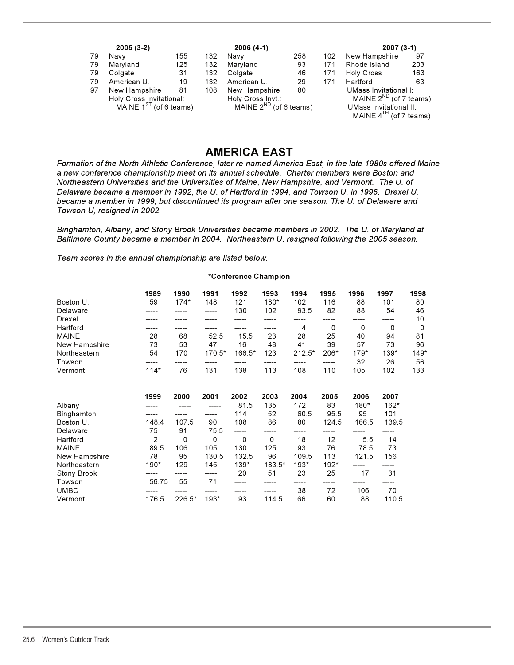| $2005(3-2)$                 |               |     | $2006(4-1)$                 |                   |     |                        | $2007(3-1)$                 |     |  |
|-----------------------------|---------------|-----|-----------------------------|-------------------|-----|------------------------|-----------------------------|-----|--|
| 79                          | Navv          | 155 | 132                         | Navv              | 258 | 102                    | New Hampshire               | 97  |  |
| 79                          | Maryland      | 125 | 132                         | Maryland          | 93  | 171                    | Rhode Island                | 203 |  |
| 79                          | Colgate       | 31  | 132                         | Colgate           | 46  | 171                    | Holy Cross                  | 163 |  |
| 79                          | American U.   | 19  | 132                         | American U.       | 29  | 171                    | Hartford                    | 63  |  |
| 97                          | New Hampshire | 81  | 108                         | New Hampshire     | 80  |                        | UMass Invitational I:       |     |  |
| Holy Cross Invitational:    |               |     |                             | Holy Cross Invt.: |     |                        | MAINE $2^{ND}$ (of 7 teams) |     |  |
| MAINE $1^{ST}$ (of 6 teams) |               |     | MAINE $2^{ND}$ (of 6 teams) |                   |     | UMass Invitational II: |                             |     |  |
|                             |               |     |                             |                   |     |                        | MAINE $4^{TH}$ (of 7 teams) |     |  |

## **AMERICA EAST**

*Formation of the North Athletic Conference, later re-named America East, in the late 1980s offered Maine a new conference championship meet on its annual schedule. Charter members were Boston and Northeastern Universities and the Universities of Maine, New Hampshire, and Vermont. The U. of Delaware became a member in 1992, the U. of Hartford in 1994, and Towson U. in 1996. Drexel U. became a member in 1999, but discontinued its program after one season. The U. of Delaware and Towson U, resigned in 2002.*

*Binghamton, Albany, and Stony Brook Universities became members in 2002. The U. of Maryland at Baltimore County became a member in 2004. Northeastern U. resigned following the 2005 season.*

*Team scores in the annual championship are listed below.*

#### **\*Conference Champion**

|               | 1989           | 1990   | 1991        | 1992     | 1993     | 1994     | 1995  | 1996  | 1997   | 1998 |
|---------------|----------------|--------|-------------|----------|----------|----------|-------|-------|--------|------|
| Boston U.     | 59             | $174*$ | 148         | 121      | 180*     | 102      | 116   | 88    | 101    | 80   |
| Delaware      |                |        |             | 130      | 102      | 93.5     | 82    | 88    | 54     | 46   |
| Drexel        |                |        |             |          |          |          |       |       |        | 10   |
| Hartford      |                |        |             |          |          | 4        | 0     | 0     | 0      | 0    |
| <b>MAINE</b>  | 28             | 68     | 52.5        | 15.5     | 23       | 28       | 25    | 40    | 94     | 81   |
| New Hampshire | 73             | 53     | 47          | 16       | 48       | 41       | 39    | 57    | 73     | 96   |
| Northeastern  | 54             | 170    | 170.5*      | 166.5*   | 123      | $212.5*$ | 206*  | 179*  | $139*$ | 149* |
| Towson        |                |        |             |          |          |          |       | 32    | 26     | 56   |
| Vermont       | $114*$         | 76     | 131         | 138      | 113      | 108      | 110   | 105   | 102    | 133  |
|               |                |        |             |          |          |          |       |       |        |      |
|               | 1999           | 2000   | 2001        | 2002     | 2003     | 2004     | 2005  | 2006  | 2007   |      |
| Albany        |                |        |             | 81.5     | 135      | 172      | 83    | 180*  | $162*$ |      |
| Binghamton    |                |        |             | 114      | 52       | 60.5     | 95.5  | 95    | 101    |      |
| Boston U.     | 148.4          | 107.5  | 90          | 108      | 86       | 80       | 124.5 | 166.5 | 139.5  |      |
| Delaware      | 75             | 91     | 75.5        | -----    |          |          |       |       |        |      |
| Hartford      | $\overline{2}$ | 0      | $\mathbf 0$ | $\Omega$ | $\Omega$ | 18       | 12    | 5.5   | 14     |      |
| <b>MAINE</b>  | 89.5           | 106    | 105         | 130      | 125      | 93       | 76    | 78.5  | 73     |      |
| New Hampshire | 78             | 95     | 130.5       | 132.5    | 96       | 109.5    | 113   | 121.5 | 156    |      |
| Northeastern  | 190*           | 129    | 145         | 139*     | 183.5*   | 193*     | 192*  |       |        |      |
| Stony Brook   |                |        |             | 20       | 51       | 23       | 25    | 17    | 31     |      |
| Towson        | 56.75          | 55     | 71          |          |          |          |       |       |        |      |
| <b>UMBC</b>   |                |        |             |          |          | 38       | 72    | 106   | 70     |      |
| Vermont       | 176.5          | 226.5* | $193*$      | 93       | 114.5    | 66       | 60    | 88    | 110.5  |      |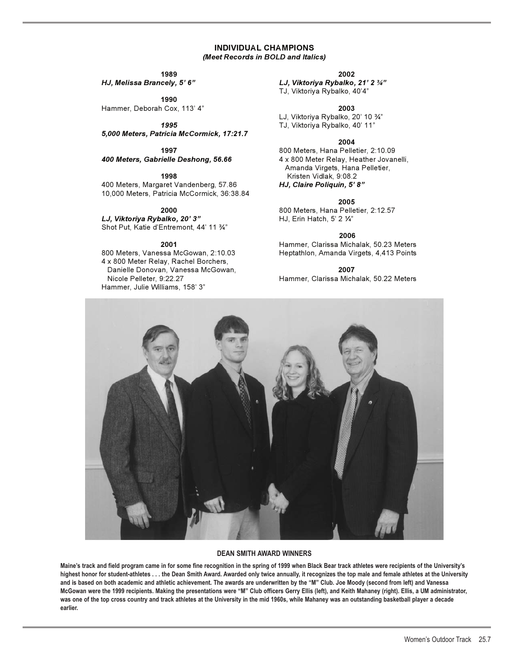#### **INDIVIDUAL CHAMPIONS** *(Meet Records in BOLD and Italics)*

**1990** 

Hammer, Deborah Cox, 113' 4" **2003**

*5,000 Meters, Patricia McCormick, 17:21.7*

*400 Meters, Gabrielle Deshong, 56.66* 4 x 800 Meter Relay, Heather Jovanelli,

400 Meters, Margaret Vandenberg, 57.86 *HJ, Claire Poliquin, 5' 8"* 10,000 Meters, Patricia McCormick, 36:38.84

*LJ, Viktoriya Rybalko, 20' 3"* HJ, Erin Hatch, 5' 2 1/<sub>4"</sub> Shot Put, Katie d'Entremont, 44' 11 %"

4 x 800 Meter Relay, Rachel Borchers, Danielle Donovan, Vanessa McGowan, **2007**  Hammer, Julie Williams, 158' 3"

#### **1989 2002**

*HJ, Melissa Brancely, 5' 6" LJ, Viktoriya Rybalko, 21' 2 -"* TJ, Viktoriya Rybalko, 40'4"

 $L$ J, Viktoriya Rybalko, 20' 10  $\frac{3}{4}$ " *1995* TJ, Viktoriya Rybalko, 40' 11"

#### **2004**

**1997** 800 Meters, Hana Pelletier, 2:10.09 Amanda Virgets, Hana Pelletier, **1998** Kristen Vidlak, 9:08.2

**2005**

**2000** 800 Meters, Hana Pelletier, 2:12.57

 **2006** 

**2001** Hammer, Clarissa Michalak, 50.23 Meters Heptathlon, Amanda Virgets, 4,413 Points

Nicole Pelleter, 9:22.27 Hammer, Clarissa Michalak, 50.22 Meters



#### **DEAN SMITH AWARD WINNERS**

**Maine's track and field program came in for some fine recognition in the spring of 1999 when Black Bear track athletes were recipients of the University's highest honor for student-athletes . . . the Dean Smith Award. Awarded only twice annually, it recognizes the top male and female athletes at the University and is based on both academic and athletic achievement. The awards are underwritten by the "M" Club. Joe Moody (second from left) and Vanessa McGowan were the 1999 recipients. Making the presentations were "M" Club officers Gerry Ellis (left), and Keith Mahaney (right). Ellis, a UM administrator, was one of the top cross country and track athletes at the University in the mid 1960s, while Mahaney was an outstanding basketball player a decade earlier.**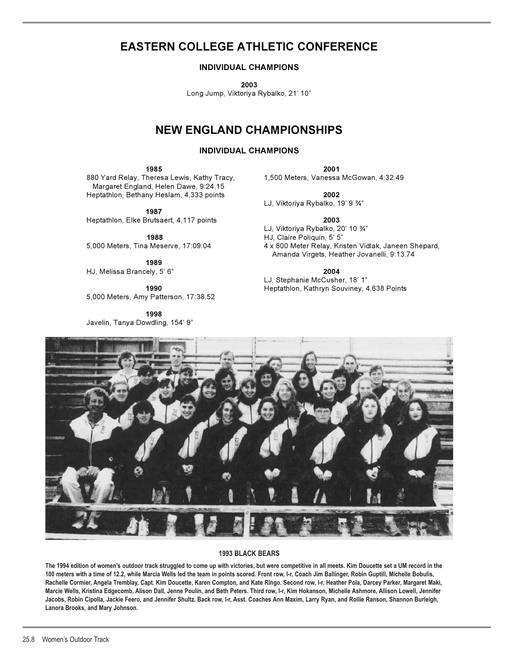## **EASTERN COLLEGE ATHLETIC CONFERENCE**

### **INDIVIDUAL CHAMPIONS**

**2003** 

Long Jump, Viktoriya Rybalko, 21' 10"

## **NEW ENGLAND CHAMPIONSHIPS**

#### **INDIVIDUAL CHAMPIONS**

**1985 2001** 

880 Yard Relay, Theresa Lewis, Kathy Tracy, 1,500 Meters, Vanessa McGowan, 4:32.49 Margaret England, Helen Dawe, 9:24.15 Heptathlon, Bethany Heslam, 4,333 points **2002**

**1987** 

Heptathlon, Elke Brutsaert, 4,117 points **2003** 

 **1988** HJ, Claire Poliquin, 5' 5"

**1989** HJ, Melissa Brancely, 5' 6" **2004** 

5,000 Meters, Amy Patterson, 17:38.52

**1998**  Javelin, Tanya Dowdling, 154' 9"

LJ, Viktoriya Rybalko, 19' 9 -"

LJ, Viktoriya Rybalko, 20' 10 -"

5,000 Meters, Tina Meserve, 17:09.04 4 x 800 Meter Relay, Kristen Vidlak, Janeen Shepard, Amanda Virgets, Heather Jovanelli, 9:13.74

1990 LJ, Stephanie McCusher, 18' 1"<br>2. Heptathlon, Kathryn Souvinev, 4 **1990** Heptathlon, Kathryn Souviney, 4,638 Points



### **1993 BLACK BEARS**

**The 1994 edition of women's outdoor track struggled to come up with victories, but were competitive in all meets. Kim Doucette set a UM record in the 100 meters with a time of 12.2, while Marcia Wells led the team in points scored. Front row, l-r, Coach Jim Ballinger, Robin Guptill, Michelle Bobulis, Rachelle Cormier, Angela Tremblay, Capt. Kim Doucette, Karen Compton, and Kate Ringo. Second row, l-r, Heather Pola, Darcey Parker, Margaret Maki, Marcie Wells, Kristina Edgecomb, Alison Dall, Jenne Poulin, and Beth Peters. Third row, l-r, Kim Hokanson, Michelle Ashmore, Allison Lowell, Jennifer Jacobs, Robin Cipolla, Jackie Feero, and Jennifer Shultz. Back row, l-r, Asst. Coaches Ann Maxim, Larry Ryan, and Rollie Ranson, Shannon Burleigh, Lanora Brooks, and Mary Johnson.**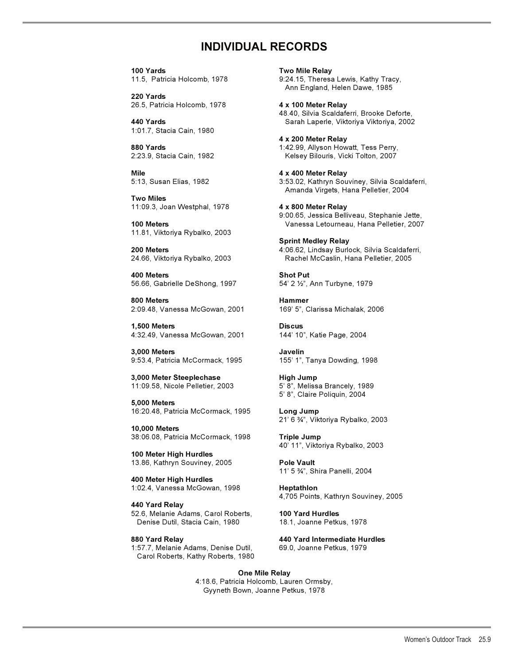## **INDIVIDUAL RECORDS**

**100 Yards Two Mile Relay**  11.5, Patricia Holcomb, 1978 9:24.15, Theresa Lewis, Kathy Tracy,

**220 Yards**  26.5, Patricia Holcomb, 1978 **4 x 100 Meter Relay** 

1:01.7, Stacia Cain, 1980

**Mile 4 x 400 Meter Relay** 

**Two Miles**  11:09.3, Joan Westphal, 1978 **4 x 800 Meter Relay** 

11.81, Viktoriya Rybalko, 2003

**400 Meters Shot Put** 56.66, Gabrielle DeShong, 1997

**800 Meters Hammer** 2:09.48, Vanessa McGowan, 2001 169' 5", Clarissa Michalak, 2006

**1,500 Meters Discus**  4:32.49, Vanessa McGowan, 2001 144' 10", Katie Page, 2004

**3,000 Meters Javelin** 9:53.4, Patricia McCormack, 1995 155' 1", Tanya Dowding, 1998

**3,000 Meter Steeplechase High Jump** 11:09.58, Nicole Pelletier, 2003 5' 8", Melissa Brancely, 1989

**5,000 Meters** 16:20.48, Patricia McCormack, 1995 **Long Jump**

**10,000 Meters** 38:06.08, Patricia McCormack, 1998 **Triple Jump**

**100 Meter High Hurdles**  13.86, Kathryn Souviney, 2005 **Pole Vault**

**400 Meter High Hurdles**  1:02.4, Vanessa McGowan, 1998 **Heptathlon** 

**440 Yard Relay**  52.6, Melanie Adams, Carol Roberts, **100 Yard Hurdles**  Denise Dutil, Stacia Cain, 1980 18.1, Joanne Petkus, 1978

1:57.7, Melanie Adams, Denise Dutil, 69.0, Joanne Petkus, 1979 Carol Roberts, Kathy Roberts, 1980

Ann England, Helen Dawe, 1985

 48.40, Silvia Scaldaferri, Brooke Deforte, **440 Yards** Sarah Laperle, Viktoriya Viktoriya, 2002

**4 x 200 Meter Relay 880 Yards** 1:42.99, Allyson Howatt, Tess Perry, 2:23.9, Stacia Cain, 1982 Kelsey Bilouris, Vicki Tolton, 2007

5:13, Susan Elias, 1982 3:53.02, Kathryn Souviney, Silvia Scaldaferri, Amanda Virgets, Hana Pelletier, 2004

 9:00.65, Jessica Belliveau, Stephanie Jette, **100 Meters** Vanessa Letourneau, Hana Pelletier, 2007

**Sprint Medley Relay 200 Meters** 4:06.62, Lindsay Burlock, Silvia Scaldaferri, 24.66, Viktoriya Rybalko, 2003 Rachel McCaslin, Hana Pelletier, 2005

54' 2 1/2", Ann Turbyne, 1979

5' 8", Claire Poliquin, 2004

21' 6 -", Viktoriya Rybalko, 2003

40' 11", Viktoriya Rybalko, 2003

 $11' 5\frac{3}{4}$ 11' 5 %", Shira Panelli, 2004

4,705 Points, Kathryn Souviney, 2005

**880 Yard Relay 440 Yard Intermediate Hurdles** 

**One Mile Relay** 4:18.6, Patricia Holcomb, Lauren Ormsby, Gyyneth Bown, Joanne Petkus, 1978